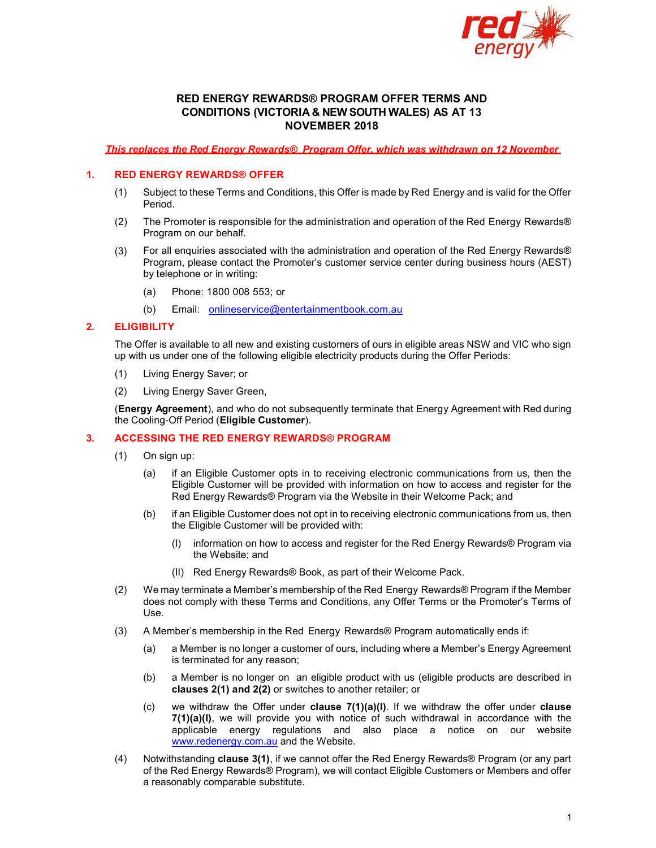

# RED ENERGY REWARDS® PROGRAM OFFER TERMS AND CONDITIONS (VICTORIA & NEW SOUTH WALES) AS AT 13 NOVEMBER 2018

This replaces the Red Energy Rewards® Program Offer, which was withdrawn on 12 November

### 1. RED ENERGY REWARDS® OFFER

- (1) Subject to these Terms and Conditions, this Offer is made by Red Energy and is valid for the Offer Period.
- (2) The Promoter is responsible for the administration and operation of the Red Energy Rewards® Program on our behalf.
- (3) For all enquiries associated with the administration and operation of the Red Energy Rewards® Program, please contact the Promoter's customer service center during business hours (AEST) by telephone or in writing:
	- (a) Phone: 1800 008 553; or
	- (b) Email: onlineservice@entertainmentbook.com.au

#### 2. ELIGIBILITY

The Offer is available to all new and existing customers of ours in eligible areas NSW and VIC who sign up with us under one of the following eligible electricity products during the Offer Periods:

- (1) Living Energy Saver; or
- (2) Living Energy Saver Green,

(Energy Agreement), and who do not subsequently terminate that Energy Agreement with Red during the Cooling-Off Period (Eligible Customer).

## 3. ACCESSING THE RED ENERGY REWARDS® PROGRAM

- (1) On sign up:
	- (a) if an Eligible Customer opts in to receiving electronic communications from us, then the Eligible Customer will be provided with information on how to access and register for the Red Energy Rewards® Program via the Website in their Welcome Pack; and
	- (b) if an Eligible Customer does not opt in to receiving electronic communications from us, then the Eligible Customer will be provided with:
		- (I) information on how to access and register for the Red Energy Rewards® Program via the Website; and
		- (II) Red Energy Rewards® Book, as part of their Welcome Pack.
- (2) We may terminate a Member's membership of the Red Energy Rewards® Program if the Member does not comply with these Terms and Conditions, any Offer Terms or the Promoter's Terms of Use.
- (3) A Member's membership in the Red Energy Rewards® Program automatically ends if:
	- (a) a Member is no longer a customer of ours, including where a Member's Energy Agreement is terminated for any reason;
	- (b) a Member is no longer on an eligible product with us (eligible products are described in clauses 2(1) and 2(2) or switches to another retailer; or
	- (c) we withdraw the Offer under **clause**  $7(1)(a)(I)$ . If we withdraw the offer under **clause**  $7(1)(a)(I)$ , we will provide you with notice of such withdrawal in accordance with the applicable energy regulations and also place a notice on our website www.redenergy.com.au and the Website.
- (4) Notwithstanding clause 3(1), if we cannot offer the Red Energy Rewards® Program (or any part of the Red Energy Rewards® Program), we will contact Eligible Customers or Members and offer a reasonably comparable substitute.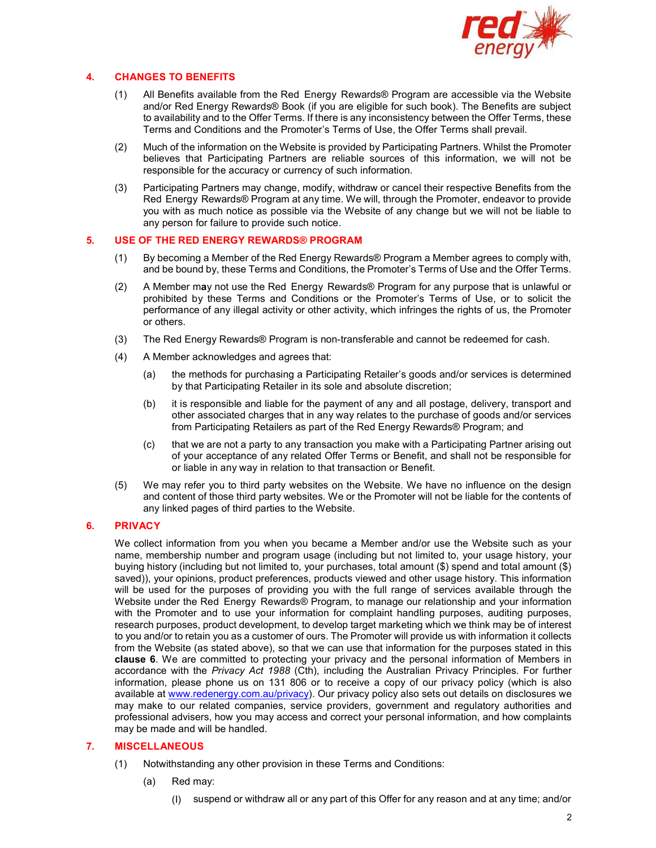

# 4. CHANGES TO BENEFITS

- (1) All Benefits available from the Red Energy Rewards® Program are accessible via the Website and/or Red Energy Rewards® Book (if you are eligible for such book). The Benefits are subject to availability and to the Offer Terms. If there is any inconsistency between the Offer Terms, these Terms and Conditions and the Promoter's Terms of Use, the Offer Terms shall prevail.
- (2) Much of the information on the Website is provided by Participating Partners. Whilst the Promoter believes that Participating Partners are reliable sources of this information, we will not be responsible for the accuracy or currency of such information.
- (3) Participating Partners may change, modify, withdraw or cancel their respective Benefits from the Red Energy Rewards® Program at any time. We will, through the Promoter, endeavor to provide you with as much notice as possible via the Website of any change but we will not be liable to any person for failure to provide such notice.

## 5. USE OF THE RED ENERGY REWARDS® PROGRAM

- (1) By becoming a Member of the Red Energy Rewards® Program a Member agrees to comply with, and be bound by, these Terms and Conditions, the Promoter's Terms of Use and the Offer Terms.
- (2) A Member may not use the Red Energy Rewards® Program for any purpose that is unlawful or prohibited by these Terms and Conditions or the Promoter's Terms of Use, or to solicit the performance of any illegal activity or other activity, which infringes the rights of us, the Promoter or others.
- (3) The Red Energy Rewards® Program is non-transferable and cannot be redeemed for cash.
- (4) A Member acknowledges and agrees that:
	- (a) the methods for purchasing a Participating Retailer's goods and/or services is determined by that Participating Retailer in its sole and absolute discretion;
	- (b) it is responsible and liable for the payment of any and all postage, delivery, transport and other associated charges that in any way relates to the purchase of goods and/or services from Participating Retailers as part of the Red Energy Rewards® Program; and
	- (c) that we are not a party to any transaction you make with a Participating Partner arising out of your acceptance of any related Offer Terms or Benefit, and shall not be responsible for or liable in any way in relation to that transaction or Benefit.
- (5) We may refer you to third party websites on the Website. We have no influence on the design and content of those third party websites. We or the Promoter will not be liable for the contents of any linked pages of third parties to the Website.

## 6. PRIVACY

We collect information from you when you became a Member and/or use the Website such as your name, membership number and program usage (including but not limited to, your usage history, your buying history (including but not limited to, your purchases, total amount (\$) spend and total amount (\$) saved)), your opinions, product preferences, products viewed and other usage history. This information will be used for the purposes of providing you with the full range of services available through the Website under the Red Energy Rewards® Program, to manage our relationship and your information with the Promoter and to use your information for complaint handling purposes, auditing purposes, research purposes, product development, to develop target marketing which we think may be of interest to you and/or to retain you as a customer of ours. The Promoter will provide us with information it collects from the Website (as stated above), so that we can use that information for the purposes stated in this clause 6. We are committed to protecting your privacy and the personal information of Members in accordance with the Privacy Act 1988 (Cth), including the Australian Privacy Principles. For further information, please phone us on 131 806 or to receive a copy of our privacy policy (which is also available at www.redenergy.com.au/privacy). Our privacy policy also sets out details on disclosures we may make to our related companies, service providers, government and regulatory authorities and professional advisers, how you may access and correct your personal information, and how complaints may be made and will be handled.

## 7. MISCELLANEOUS

- (1) Notwithstanding any other provision in these Terms and Conditions:
	- (a) Red may:
		- (I) suspend or withdraw all or any part of this Offer for any reason and at any time; and/or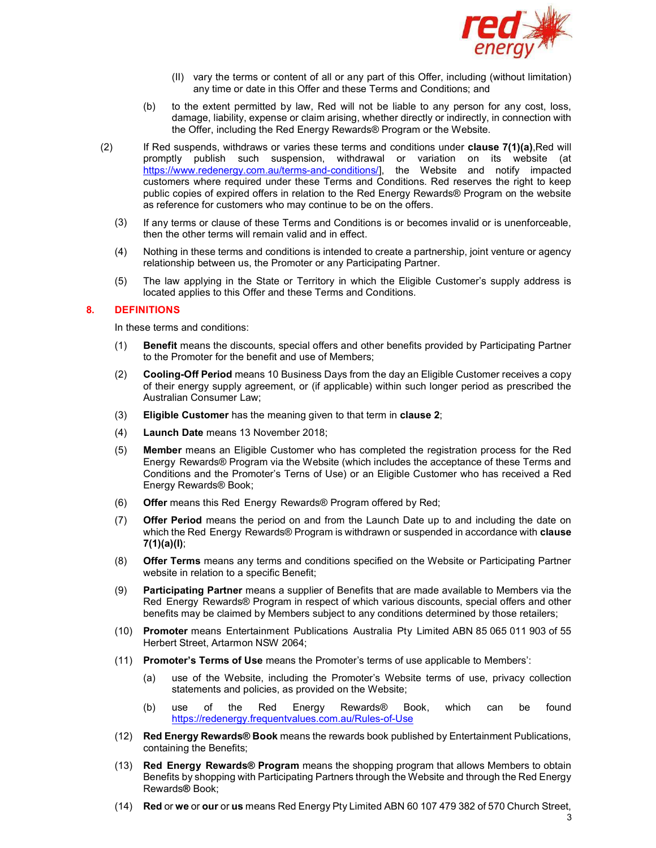

- (II) vary the terms or content of all or any part of this Offer, including (without limitation) any time or date in this Offer and these Terms and Conditions; and
- (b) to the extent permitted by law, Red will not be liable to any person for any cost, loss, damage, liability, expense or claim arising, whether directly or indirectly, in connection with the Offer, including the Red Energy Rewards® Program or the Website.
- $(2)$  If Red suspends, withdraws or varies these terms and conditions under **clause 7(1)(a)**,Red will promptly publish such suspension, withdrawal or variation on its website (at https://www.redenergy.com.au/terms-and-conditions/], the Website and notify impacted customers where required under these Terms and Conditions. Red reserves the right to keep public copies of expired offers in relation to the Red Energy Rewards® Program on the website as reference for customers who may continue to be on the offers.
	- (3) If any terms or clause of these Terms and Conditions is or becomes invalid or is unenforceable, then the other terms will remain valid and in effect.
	- (4) Nothing in these terms and conditions is intended to create a partnership, joint venture or agency relationship between us, the Promoter or any Participating Partner.
	- (5) The law applying in the State or Territory in which the Eligible Customer's supply address is located applies to this Offer and these Terms and Conditions.

#### 8. DEFINITIONS

In these terms and conditions:

- (1) Benefit means the discounts, special offers and other benefits provided by Participating Partner to the Promoter for the benefit and use of Members;
- (2) Cooling-Off Period means 10 Business Days from the day an Eligible Customer receives a copy of their energy supply agreement, or (if applicable) within such longer period as prescribed the Australian Consumer Law;
- (3) Eligible Customer has the meaning given to that term in clause 2;
- (4) Launch Date means 13 November 2018;
- (5) Member means an Eligible Customer who has completed the registration process for the Red Energy Rewards® Program via the Website (which includes the acceptance of these Terms and Conditions and the Promoter's Terns of Use) or an Eligible Customer who has received a Red Energy Rewards® Book;
- (6) Offer means this Red Energy Rewards® Program offered by Red;
- (7) Offer Period means the period on and from the Launch Date up to and including the date on which the Red Energy Rewards® Program is withdrawn or suspended in accordance with **clause** 7(1)(a)(I);
- (8) Offer Terms means any terms and conditions specified on the Website or Participating Partner website in relation to a specific Benefit;
- (9) Participating Partner means a supplier of Benefits that are made available to Members via the Red Energy Rewards® Program in respect of which various discounts, special offers and other benefits may be claimed by Members subject to any conditions determined by those retailers;
- (10) Promoter means Entertainment Publications Australia Pty Limited ABN 85 065 011 903 of 55 Herbert Street, Artarmon NSW 2064;
- (11) Promoter's Terms of Use means the Promoter's terms of use applicable to Members':
	- (a) use of the Website, including the Promoter's Website terms of use, privacy collection statements and policies, as provided on the Website;
	- (b) use of the Red Energy Rewards® Book, which can be found https://redenergy.frequentvalues.com.au/Rules-of-Use
- (12) Red Energy Rewards® Book means the rewards book published by Entertainment Publications, containing the Benefits;
- (13) Red Energy Rewards® Program means the shopping program that allows Members to obtain Benefits by shopping with Participating Partners through the Website and through the Red Energy Rewards® Book;
- (14) Red or we or our or us means Red Energy Pty Limited ABN 60 107 479 382 of 570 Church Street,